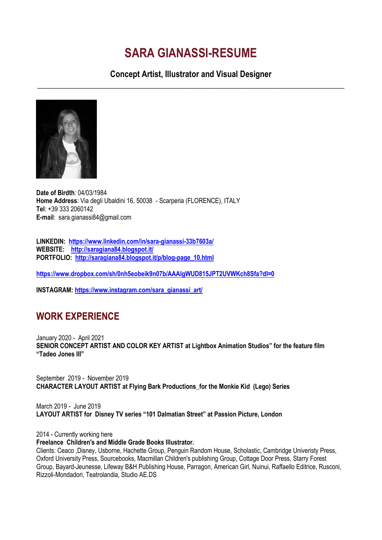# **SARA GIANASSI-RESUME**

**Concept Artist, Illustrator and Visual Designer \_\_\_\_\_\_\_\_\_\_\_\_\_\_\_\_\_\_\_\_\_\_\_\_\_\_\_\_\_\_\_\_\_\_\_\_\_\_\_\_\_\_\_\_\_\_\_\_\_\_\_\_\_\_\_\_\_\_\_\_\_\_\_\_\_\_\_\_\_\_\_\_\_\_\_**



**Date of Birdth**: 04/03/1984 **Home Address**: Via degli Ubaldini 16, 50038 - Scarperia (FLORENCE), ITALY **Tel**: +39 333 2060142 **E-mail**: sara.gianassi84@gmail.com

**LINKEDIN: <https://www.linkedin.com/in/sara-gianassi-33b7603a/> WEBSITE: <http://saragiana84.blogspot.it/> PORTFOLIO: [http://saragiana84.blogspot.it/p/blog-page\\_10.html](http://saragiana84.blogspot.it/p/blog-page_10.html)**

**<https://www.dropbox.com/sh/0nh5eobeik9n07b/AAAlgWUD815JPT2UVWKch8Sfa?dl=0>**

**INSTAGRAM: [https://www.instagram.com/sara\\_gianassi\\_art/](https://www.instagram.com/sara_gianassi_art/)**

# **WORK EXPERIENCE**

January 2020 - April 2021 **SENIOR CONCEPT ARTIST AND COLOR KEY ARTIST at Lightbox Animation Studios" for the feature film "Tadeo Jones III"**

September 2019 - November 2019 **CHARACTER LAYOUT ARTIST at Flying Bark Productions\_for the Monkie Kid (Lego) Series**

March 2019 - June 2019 **LAYOUT ARTIST for Disney TV series "101 Dalmatian Street" at Passion Picture, London**

2014 - Currently working here

#### **Freelance Children's and Middle Grade Books Illustrator.**

Clients: Ceaco ,Disney, Usborne, Hachette Group, Penguin Random House, Scholastic, Cambridge Univeristy Press, Oxford University Press, Sourcebooks, Macmillan Children's publishing Group, Cottage Door Press, Starry Forest Group, Bayard-Jeunesse, Lifeway B&H Publishing House, Parragon, American Girl, Nuinui, Raffaello Editrice, Rusconi, Rizzoli-Mondadori, Teatrolandia, Studio AE.DS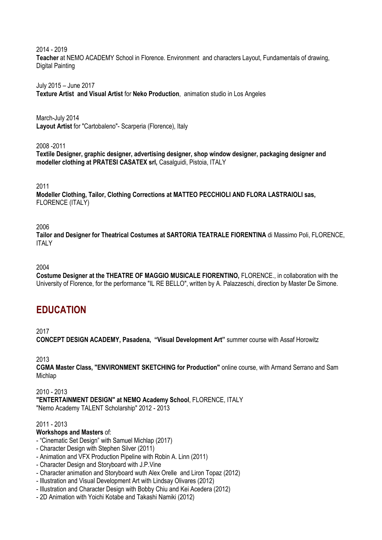2014 - 2019 **Teacher** at NEMO ACADEMY School in Florence. Environment and characters Layout, Fundamentals of drawing, Digital Painting

July 2015 – June 2017 **Texture Artist and Visual Artist** for **Neko Production**, animation studio in Los Angeles

March-July 2014 **Layout Artist** for "Cartobaleno"- Scarperia (Florence), Italy

2008 -2011

**Textile Designer, graphic designer, advertising designer, shop window designer, packaging designer and modeller clothing at PRATESI CASATEX srl,** Casalguidi, Pistoia, ITALY

2011

**Modeller Clothing, Tailor, Clothing Corrections at MATTEO PECCHIOLI AND FLORA LASTRAIOLI sas,**  FLORENCE (ITALY)

2006

**Tailor and Designer for Theatrical Costumes at SARTORIA TEATRALE FIORENTINA** di Massimo Poli, FLORENCE, **ITALY** 

2004

**Costume Designer at the THEATRE OF MAGGIO MUSICALE FIORENTINO,** FLORENCE., in collaboration with the University of Florence, for the performance "IL RE BELLO", written by A. Palazzeschi, direction by Master De Simone.

# **EDUCATION**

2017

**CONCEPT DESIGN ACADEMY, Pasadena, "Visual Development Art"** summer course with Assaf Horowitz

2013

**CGMA Master Class, "ENVIRONMENT SKETCHING for Production"** online course, with Armand Serrano and Sam Michlap

2010 - 2013 **"ENTERTAINMENT DESIGN" at NEMO Academy School**, FLORENCE, ITALY "Nemo Academy TALENT Scholarship" 2012 - 2013

2011 - 2013

#### **Workshops and Masters** of:

- "Cinematic Set Design" with Samuel Michlap (2017)
- Character Design with Stephen Silver (2011)
- Animation and VFX Production Pipeline with Robin A. Linn (2011)
- Character Design and Storyboard with J.P.Vine
- Character animation and Storyboard wuth Alex Orelle and Liron Topaz (2012)
- Illustration and Visual Development Art with Lindsay Olivares (2012)
- Illustration and Character Design with Bobby Chiu and Kei Acedera (2012)
- 2D Animation with Yoichi Kotabe and Takashi Namiki (2012)